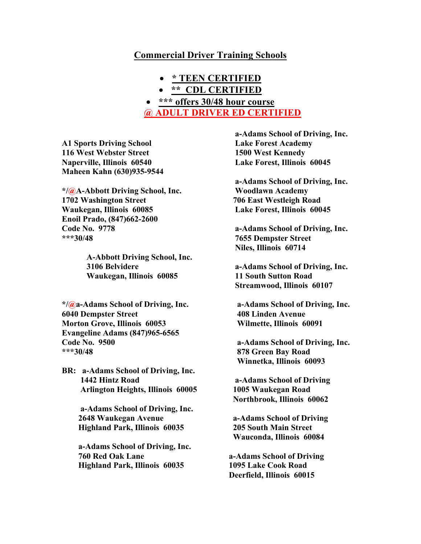# **Commercial Driver Training Schools**

- **\* TEEN CERTIFIED**
- **\*\* CDL CERTIFIED**

# • **\*\*\* offers 30/48 hour course @ ADULT DRIVER ED CERTIFIED**

**A1 Sports Driving School 116 West Webster Street Naperville, Illinois 60540 Maheen Kahn (630)935-9544**

**\*/@A-Abbott Driving School, Inc. 1702 Washington Street Waukegan, Illinois 60085 Enoil Prado, (847)662-2600 Code No. 9778 \*\*\*30/48** 

> **A-Abbott Driving School, Inc. 3106 Belvidere Waukegan, Illinois 60085**

**\*/@a-Adams School of Driving, Inc. 6040 Dempster Street Morton Grove, Illinois 60053 Evangeline Adams (847)965-6565 Code No. 9500 \*\*\*30/48**

**BR: a-Adams School of Driving, Inc. 1442 Hintz Road Arlington Heights, Illinois 60005**

> **a-Adams School of Driving, Inc. 2648 Waukegan Avenue Highland Park, Illinois 60035**

 **a-Adams School of Driving, Inc. 760 Red Oak Lane Highland Park, Illinois 60035**

 **a-Adams School of Driving, Inc. Lake Forest Academy 1500 West Kennedy Lake Forest, Illinois 60045**

 **a-Adams School of Driving, Inc. Woodlawn Academy 706 East Westleigh Road Lake Forest, Illinois 60045**

 **a-Adams School of Driving, Inc. 7655 Dempster Street Niles, Illinois 60714**

 **a-Adams School of Driving, Inc. 11 South Sutton Road Streamwood, Illinois 60107**

 **a-Adams School of Driving, Inc. 408 Linden Avenue Wilmette, Illinois 60091**

 **a-Adams School of Driving, Inc. 878 Green Bay Road Winnetka, Illinois 60093**

 **a-Adams School of Driving 1005 Waukegan Road Northbrook, Illinois 60062**

 **a-Adams School of Driving 205 South Main Street Wauconda, Illinois 60084**

**a-Adams School of Driving 1095 Lake Cook Road Deerfield, Illinois 60015**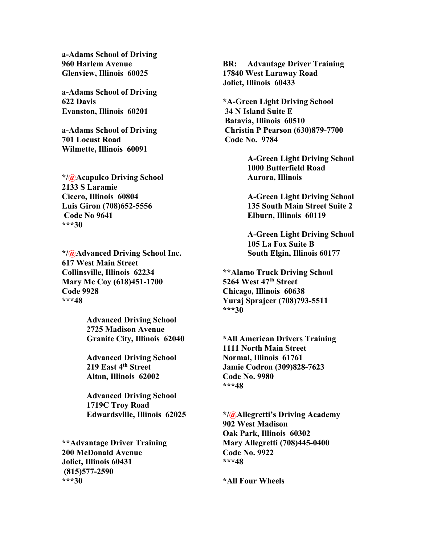**a-Adams School of Driving 960 Harlem Avenue Glenview, Illinois 60025**

**a-Adams School of Driving 622 Davis Evanston, Illinois 60201**

**a-Adams School of Driving 701 Locust Road Wilmette, Illinois 60091**

**\*/@Acapulco Driving School 2133 S Laramie Cicero, Illinois 60804 Luis Giron (708)652-5556 Code No 9641 \*\*\*30**

**\*/@Advanced Driving School Inc. 617 West Main Street Collinsville, Illinois 62234 Mary Mc Coy (618)451-1700 Code 9928 \*\*\*48**

> **Advanced Driving School 2725 Madison Avenue Granite City, Illinois 62040**

**Advanced Driving School 219 East 4th Street Alton, Illinois 62002**

**Advanced Driving School 1719C Troy Road Edwardsville, Illinois 62025**

**\*\*Advantage Driver Training 200 McDonald Avenue Joliet, Illinois 60431 (815)577-2590 \*\*\*30**

**BR: Advantage Driver Training 17840 West Laraway Road Joliet, Illinois 60433**

**\*A-Green Light Driving School 34 N Island Suite E Batavia, Illinois 60510 Christin P Pearson (630)879-7700 Code No. 9784** 

> **A-Green Light Driving School 1000 Butterfield Road Aurora, Illinois**

> **A-Green Light Driving School 135 South Main Street Suite 2 Elburn, Illinois 60119**

> **A-Green Light Driving School 105 La Fox Suite B South Elgin, Illinois 60177**

**\*\*Alamo Truck Driving School 5264 West 47th Street Chicago, Illinois 60638 Yuraj Sprajcer (708)793-5511 \*\*\*30**

**\*All American Drivers Training 1111 North Main Street Normal, Illinois 61761 Jamie Codron (309)828-7623 Code No. 9980 \*\*\*48**

**\*/@Allegretti's Driving Academy 902 West Madison Oak Park, Illinois 60302 Mary Allegretti (708)445-0400 Code No. 9922 \*\*\*48**

**\*All Four Wheels**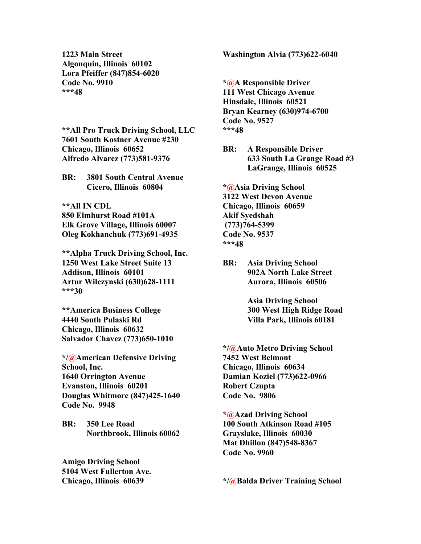**1223 Main Street Algonquin, Illinois 60102 Lora Pfeiffer (847)854-6020 Code No. 9910 \*\*\*48**

**\*\*All Pro Truck Driving School, LLC 7601 South Kostner Avenue #230 Chicago, Illinois 60652 Alfredo Alvarez (773)581-9376**

**BR: 3801 South Central Avenue Cicero, Illinois 60804**

**\*\*All IN CDL 850 Elmhurst Road #101A Elk Grove Village, Illinois 60007 Oleg Kokhanchuk (773)691-4935**

**\*\*Alpha Truck Driving School, Inc. 1250 West Lake Street Suite 13 Addison, Illinois 60101 Artur Wilczynski (630)628-1111 \*\*\*30**

**\*\*America Business College 4440 South Pulaski Rd Chicago, Illinois 60632 Salvador Chavez (773)650-1010**

**\*/@American Defensive Driving School, Inc. 1640 Orrington Avenue Evanston, Illinois 60201 Douglas Whitmore (847)425-1640 Code No. 9948**

**BR: 350 Lee Road Northbrook, Illinois 60062**

**Amigo Driving School 5104 West Fullerton Ave. Chicago, Illinois 60639**

**Washington Alvia (773)622-6040**

**\*@A Responsible Driver 111 West Chicago Avenue Hinsdale, Illinois 60521 Bryan Kearney (630)974-6700 Code No. 9527 \*\*\*48**

**BR: A Responsible Driver 633 South La Grange Road #3 LaGrange, Illinois 60525**

**\*@Asia Driving School 3122 West Devon Avenue Chicago, Illinois 60659 Akif Syedshah (773)764-5399 Code No. 9537 \*\*\*48**

**BR: Asia Driving School 902A North Lake Street Aurora, Illinois 60506**

> **Asia Driving School 300 West High Ridge Road Villa Park, Illinois 60181**

**\*/@Auto Metro Driving School 7452 West Belmont Chicago, Illinois 60634 Damian Koziel (773)622-0966 Robert Czupta Code No. 9806**

**\*@Azad Driving School 100 South Atkinson Road #105 Grayslake, Illinois 60030 Mat Dhillon (847)548-8367 Code No. 9960**

**\*/@Balda Driver Training School**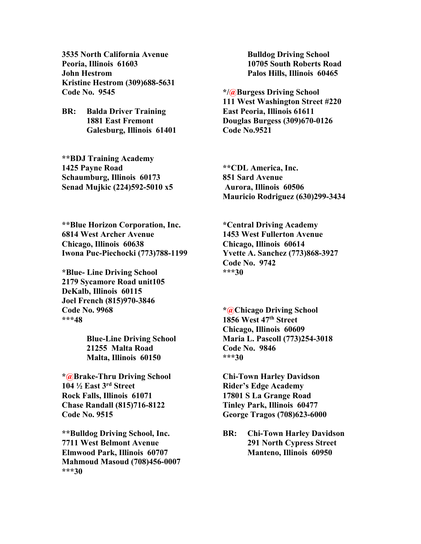**3535 North California Avenue Peoria, Illinois 61603 John Hestrom Kristine Hestrom (309)688-5631 Code No. 9545**

**BR: Balda Driver Training 1881 East Fremont Galesburg, Illinois 61401**

**\*\*BDJ Training Academy 1425 Payne Road Schaumburg, Illinois 60173 Senad Mujkic (224)592-5010 x5**

**\*\*Blue Horizon Corporation, Inc. 6814 West Archer Avenue Chicago, Illinois 60638 Iwona Puc-Piechocki (773)788-1199**

**\*Blue- Line Driving School 2179 Sycamore Road unit105 DeKalb, Illinois 60115 Joel French (815)970-3846 Code No. 9968 \*\*\*48**

> **Blue-Line Driving School 21255 Malta Road Malta, Illinois 60150**

**\*@Brake-Thru Driving School 104 ½ East 3rd Street Rock Falls, Illinois 61071 Chase Randall (815)716-8122 Code No. 9515**

**\*\*Bulldog Driving School, Inc. 7711 West Belmont Avenue Elmwood Park, Illinois 60707 Mahmoud Masoud (708)456-0007 \*\*\*30**

**Bulldog Driving School 10705 South Roberts Road Palos Hills, Illinois 60465**

**\*/@Burgess Driving School 111 West Washington Street #220 East Peoria, Illinois 61611 Douglas Burgess (309)670-0126 Code No.9521**

**\*\*CDL America, Inc. 851 Sard Avenue Aurora, Illinois 60506 Mauricio Rodriguez (630)299-3434**

**\*Central Driving Academy 1453 West Fullerton Avenue Chicago, Illinois 60614 Yvette A. Sanchez (773)868-3927 Code No. 9742 \*\*\*30**

**\*@Chicago Driving School 1856 West 47th Street Chicago, Illinois 60609 Maria L. Pascoll (773)254-3018 Code No. 9846 \*\*\*30**

**Chi-Town Harley Davidson Rider's Edge Academy 17801 S La Grange Road Tinley Park, Illinois 60477 George Tragos (708)623-6000**

**BR: Chi-Town Harley Davidson 291 North Cypress Street Manteno, Illinois 60950**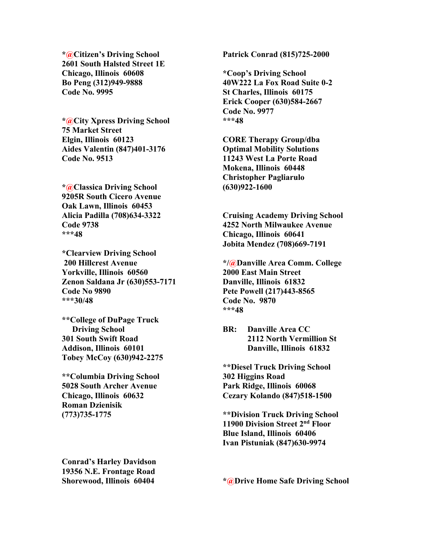**\*@Citizen's Driving School 2601 South Halsted Street 1E Chicago, Illinois 60608 Bo Peng (312)949-9888 Code No. 9995**

**\*@City Xpress Driving School 75 Market Street Elgin, Illinois 60123 Aides Valentin (847)401-3176 Code No. 9513**

**\*@Classica Driving School 9205R South Cicero Avenue Oak Lawn, Illinois 60453 Alicia Padilla (708)634-3322 Code 9738 \*\*\*48**

**\*Clearview Driving School 200 Hillcrest Avenue Yorkville, Illinois 60560 Zenon Saldana Jr (630)553-7171 Code No 9890 \*\*\*30/48**

**\*\*College of DuPage Truck Driving School 301 South Swift Road Addison, Illinois 60101 Tobey McCoy (630)942-2275**

**\*\*Columbia Driving School 5028 South Archer Avenue Chicago, Illinois 60632 Roman Dzienisik (773)735-1775**

**Conrad's Harley Davidson 19356 N.E. Frontage Road Shorewood, Illinois 60404**

**Patrick Conrad (815)725-2000**

**\*Coop's Driving School 40W222 La Fox Road Suite 0-2 St Charles, Illinois 60175 Erick Cooper (630)584-2667 Code No. 9977 \*\*\*48**

**CORE Therapy Group/dba Optimal Mobility Solutions 11243 West La Porte Road Mokena, Illinois 60448 Christopher Pagliarulo (630)922-1600**

**Cruising Academy Driving School 4252 North Milwaukee Avenue Chicago, Illinois 60641 Jobita Mendez (708)669-7191**

**\*/@Danville Area Comm. College 2000 East Main Street Danville, Illinois 61832 Pete Powell (217)443-8565 Code No. 9870 \*\*\*48**

**BR: Danville Area CC 2112 North Vermillion St Danville, Illinois 61832**

**\*\*Diesel Truck Driving School 302 Higgins Road Park Ridge, Illinois 60068 Cezary Kolando (847)518-1500**

**\*\*Division Truck Driving School 11900 Division Street 2nd Floor Blue Island, Illinois 60406 Ivan Pistuniak (847)630-9974**

**\*@Drive Home Safe Driving School**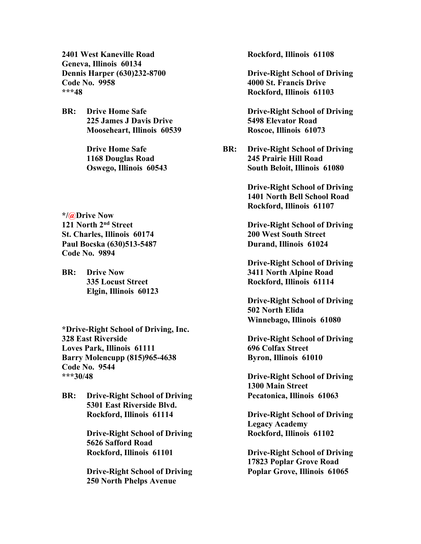**2401 West Kaneville Road Geneva, Illinois 60134 Dennis Harper (630)232-8700 Code No. 9958 \*\*\*48**

**BR: Drive Home Safe 225 James J Davis Drive Mooseheart, Illinois 60539**

> **Drive Home Safe 1168 Douglas Road Oswego, Illinois 60543**

**\*/@Drive Now 121 North 2nd Street St. Charles, Illinois 60174 Paul Bocska (630)513-5487 Code No. 9894**

**BR: Drive Now 335 Locust Street Elgin, Illinois 60123**

**\*Drive-Right School of Driving, Inc. 328 East Riverside Loves Park, Illinois 61111 Barry Molencupp (815)965-4638 Code No. 9544 \*\*\*30/48**

**BR: Drive-Right School of Driving 5301 East Riverside Blvd. Rockford, Illinois 61114**

> **Drive-Right School of Driving 5626 Safford Road Rockford, Illinois 61101**

> **Drive-Right School of Driving 250 North Phelps Avenue**

**Rockford, Illinois 61108**

**Drive-Right School of Driving 4000 St. Francis Drive Rockford, Illinois 61103**

**Drive-Right School of Driving 5498 Elevator Road Roscoe, Illinois 61073**

**BR: Drive-Right School of Driving 245 Prairie Hill Road South Beloit, Illinois 61080**

> **Drive-Right School of Driving 1401 North Bell School Road Rockford, Illinois 61107**

> **Drive-Right School of Driving 200 West South Street Durand, Illinois 61024**

> **Drive-Right School of Driving 3411 North Alpine Road Rockford, Illinois 61114**

> **Drive-Right School of Driving 502 North Elida Winnebago, Illinois 61080**

> **Drive-Right School of Driving 696 Colfax Street Byron, Illinois 61010**

> **Drive-Right School of Driving 1300 Main Street Pecatonica, Illinois 61063**

> **Drive-Right School of Driving Legacy Academy Rockford, Illinois 61102**

> **Drive-Right School of Driving 17823 Poplar Grove Road Poplar Grove, Illinois 61065**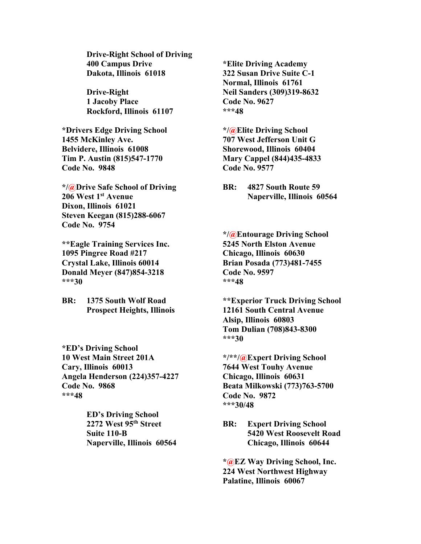**Drive-Right School of Driving 400 Campus Drive Dakota, Illinois 61018**

**Drive-Right 1 Jacoby Place Rockford, Illinois 61107**

**\*Drivers Edge Driving School 1455 McKinley Ave. Belvidere, Illinois 61008 Tim P. Austin (815)547-1770 Code No. 9848**

**\*/@Drive Safe School of Driving 206 West 1st Avenue Dixon, Illinois 61021 Steven Keegan (815)288-6067 Code No. 9754**

**\*\*Eagle Training Services Inc. 1095 Pingree Road #217 Crystal Lake, Illinois 60014 Donald Meyer (847)854-3218 \*\*\*30**

**BR: 1375 South Wolf Road Prospect Heights, Illinois**

**\*ED's Driving School 10 West Main Street 201A Cary, Illinois 60013 Angela Henderson (224)357-4227 Code No. 9868 \*\*\*48**

> **ED's Driving School 2272 West 95th Street Suite 110-B Naperville, Illinois 60564**

**\*Elite Driving Academy 322 Susan Drive Suite C-1 Normal, Illinois 61761 Neil Sanders (309)319-8632 Code No. 9627 \*\*\*48**

**\*/@Elite Driving School 707 West Jefferson Unit G Shorewood, Illinois 60404 Mary Cappel (844)435-4833 Code No. 9577**

**BR: 4827 South Route 59 Naperville, Illinois 60564**

**\*/@Entourage Driving School 5245 North Elston Avenue Chicago, Illinois 60630 Brian Posada (773)481-7455 Code No. 9597 \*\*\*48**

**\*\*Experior Truck Driving School 12161 South Central Avenue Alsip, Illinois 60803 Tom Dulian (708)843-8300 \*\*\*30**

**\*/\*\*/@Expert Driving School 7644 West Touhy Avenue Chicago, Illinois 60631 Beata Milkowski (773)763-5700 Code No. 9872 \*\*\*30/48**

**BR: Expert Driving School 5420 West Roosevelt Road Chicago, Illinois 60644**

**\*@EZ Way Driving School, Inc. 224 West Northwest Highway Palatine, Illinois 60067**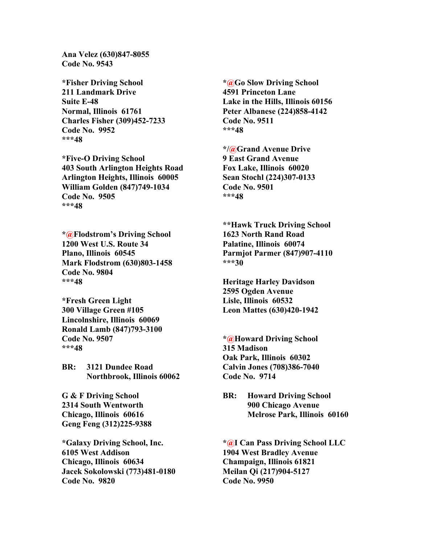**Ana Velez (630)847-8055 Code No. 9543**

**\*Fisher Driving School 211 Landmark Drive Suite E-48 Normal, Illinois 61761 Charles Fisher (309)452-7233 Code No. 9952 \*\*\*48**

**\*Five-O Driving School 403 South Arlington Heights Road Arlington Heights, Illinois 60005 William Golden (847)749-1034 Code No. 9505 \*\*\*48**

**\*@Flodstrom's Driving School 1200 West U.S. Route 34 Plano, Illinois 60545 Mark Flodstrom (630)803-1458 Code No. 9804 \*\*\*48**

**\*Fresh Green Light 300 Village Green #105 Lincolnshire, Illinois 60069 Ronald Lamb (847)793-3100 Code No. 9507 \*\*\*48**

**BR: 3121 Dundee Road Northbrook, Illinois 60062**

**G & F Driving School 2314 South Wentworth Chicago, Illinois 60616 Geng Feng (312)225-9388**

**\*Galaxy Driving School, Inc. 6105 West Addison Chicago, Illinois 60634 Jacek Sokolowski (773)481-0180 Code No. 9820**

**\*@Go Slow Driving School 4591 Princeton Lane Lake in the Hills, Illinois 60156 Peter Albanese (224)858-4142 Code No. 9511 \*\*\*48**

**\*/@Grand Avenue Drive 9 East Grand Avenue Fox Lake, Illinois 60020 Sean Stochl (224)307-0133 Code No. 9501 \*\*\*48**

**\*\*Hawk Truck Driving School 1623 North Rand Road Palatine, Illinois 60074 Parmjot Parmer (847)907-4110 \*\*\*30**

**Heritage Harley Davidson 2595 Ogden Avenue Lisle, Illinois 60532 Leon Mattes (630)420-1942** 

**\*@Howard Driving School 315 Madison Oak Park, Illinois 60302 Calvin Jones (708)386-7040 Code No. 9714**

**BR: Howard Driving School 900 Chicago Avenue Melrose Park, Illinois 60160**

**\*@I Can Pass Driving School LLC 1904 West Bradley Avenue Champaign, Illinois 61821 Meilan Qi (217)904-5127 Code No. 9950**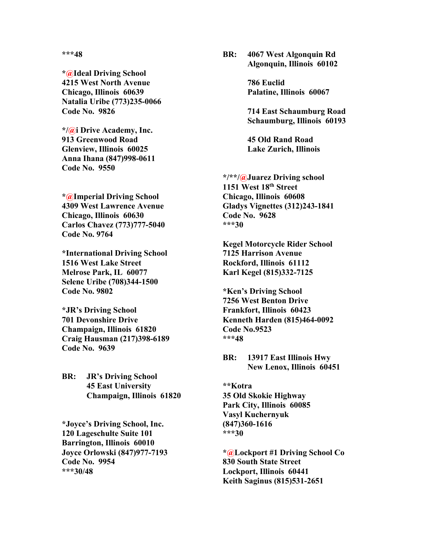**\*\*\*48**

**\*@Ideal Driving School 4215 West North Avenue Chicago, Illinois 60639 Natalia Uribe (773)235-0066 Code No. 9826**

**\*/@i Drive Academy, Inc. 913 Greenwood Road Glenview, Illinois 60025 Anna Ihana (847)998-0611 Code No. 9550**

**\*@Imperial Driving School 4309 West Lawrence Avenue Chicago, Illinois 60630 Carlos Chavez (773)777-5040 Code No. 9764**

**\*International Driving School 1516 West Lake Street Melrose Park, IL 60077 Selene Uribe (708)344-1500 Code No. 9802**

**\*JR's Driving School 701 Devonshire Drive Champaign, Illinois 61820 Craig Hausman (217)398-6189 Code No. 9639**

**BR: JR's Driving School 45 East University Champaign, Illinois 61820**

**\*Joyce's Driving School, Inc. 120 Lageschulte Suite 101 Barrington, Illinois 60010 Joyce Orlowski (847)977-7193 Code No. 9954 \*\*\*30/48**

**BR: 4067 West Algonquin Rd Algonquin, Illinois 60102**

> **786 Euclid Palatine, Illinois 60067**

**714 East Schaumburg Road Schaumburg, Illinois 60193**

**45 Old Rand Road Lake Zurich, Illinois** 

**\*/\*\*/@Juarez Driving school 1151 West 18th Street Chicago, Illinois 60608 Gladys Vignettes (312)243-1841 Code No. 9628 \*\*\*30**

**Kegel Motorcycle Rider School 7125 Harrison Avenue Rockford, Illinois 61112 Karl Kegel (815)332-7125**

**\*Ken's Driving School 7256 West Benton Drive Frankfort, Illinois 60423 Kenneth Harden (815)464-0092 Code No.9523 \*\*\*48**

**BR: 13917 East Illinois Hwy New Lenox, Illinois 60451**

**\*\*Kotra 35 Old Skokie Highway Park City, Illinois 60085 Vasyl Kuchernyuk (847)360-1616 \*\*\*30**

**\*@Lockport #1 Driving School Co 830 South State Street Lockport, Illinois 60441 Keith Saginus (815)531-2651**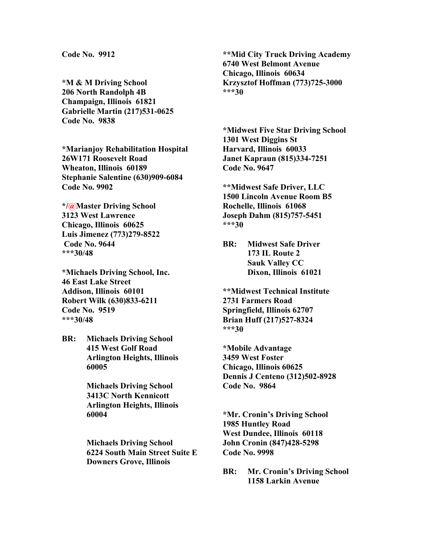**Code No. 9912**

**\*M & M Driving School 206 North Randolph 4B Champaign, Illinois 61821 Gabrielle Martin (217)531-0625 Code No. 9838**

**\*Marianjoy Rehabilitation Hospital 26W171 Roosevelt Road Wheaton, Illinois 60189 Stephanie Salentine (630)909-6084 Code No. 9902**

**\*/@Master Driving School 3123 West Lawrence Chicago, Illinois 60625 Luis Jimenez (773)279-8522 Code No. 9644 \*\*\*30/48**

**\*Michaels Driving School, Inc. 46 East Lake Street Addison, Illinois 60101 Robert Wilk (630)833-6211 Code No. 9519 \*\*\*30/48**

**BR: Michaels Driving School 415 West Golf Road Arlington Heights, Illinois 60005**

> **Michaels Driving School 3413C North Kennicott Arlington Heights, Illinois 60004**

**Michaels Driving School 6224 South Main Street Suite E Downers Grove, Illinois** 

**\*\*Mid City Truck Driving Academy 6740 West Belmont Avenue Chicago, Illinois 60634 Krzysztof Hoffman (773)725-3000 \*\*\*30**

**\*Midwest Five Star Driving School 1301 West Diggins St Harvard, Illinois 60033 Janet Kapraun (815)334-7251 Code No. 9647**

**\*\*Midwest Safe Driver, LLC 1500 Lincoln Avenue Room B5 Rochelle, Illinois 61068 Joseph Dahm (815)757-5451 \*\*\*30**

**BR: Midwest Safe Driver 173 IL Route 2 Sauk Valley CC Dixon, Illinois 61021**

**\*\*Midwest Technical Institute 2731 Farmers Road Springfield, Illinois 62707 Brian Huff (217)527-8324 \*\*\*30**

**\*Mobile Advantage 3459 West Foster Chicago, Illinois 60625 Dennis J Centeno (312)502-8928 Code No. 9864**

**\*Mr. Cronin's Driving School 1985 Huntley Road West Dundee, Illinois 60118 John Cronin (847)428-5298 Code No. 9998**

**BR: Mr. Cronin's Driving School 1158 Larkin Avenue**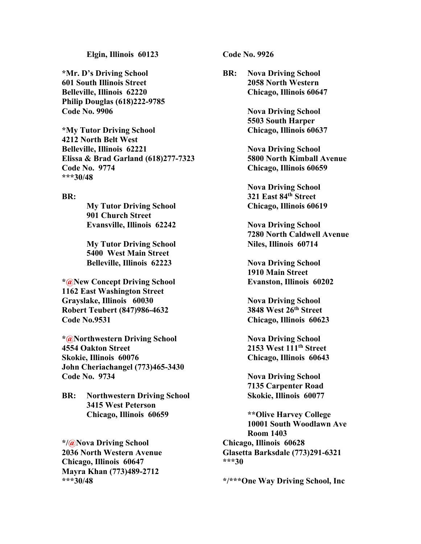## **Elgin, Illinois 60123**

**\*Mr. D's Driving School 601 South Illinois Street Belleville, Illinois 62220 Philip Douglas (618)222-9785 Code No. 9906**

**\*My Tutor Driving School 4212 North Belt West Belleville, Illinois 62221 Elissa & Brad Garland (618)277-7323 Code No. 9774 \*\*\*30/48**

### **BR:**

**My Tutor Driving School 901 Church Street Evansville, Illinois 62242**

**My Tutor Driving School 5400 West Main Street Belleville, Illinois 62223**

**\*@New Concept Driving School 1162 East Washington Street Grayslake, Illinois 60030 Robert Teubert (847)986-4632 Code No.9531**

**\*@Northwestern Driving School 4554 Oakton Street Skokie, Illinois 60076 John Cheriachangel (773)465-3430 Code No. 9734**

**BR: Northwestern Driving School 3415 West Peterson Chicago, Illinois 60659**

**\*/@Nova Driving School 2036 North Western Avenue Chicago, Illinois 60647 Mayra Khan (773)489-2712 \*\*\*30/48**

**Code No. 9926**

**BR: Nova Driving School 2058 North Western Chicago, Illinois 60647**

> **Nova Driving School 5503 South Harper Chicago, Illinois 60637**

**Nova Driving School 5800 North Kimball Avenue Chicago, Illinois 60659** 

**Nova Driving School 321 East 84th Street Chicago, Illinois 60619**

**Nova Driving School 7280 North Caldwell Avenue Niles, Illinois 60714**

**Nova Driving School 1910 Main Street Evanston, Illinois 60202**

**Nova Driving School 3848 West 26th Street Chicago, Illinois 60623**

**Nova Driving School 2153 West 111th Street Chicago, Illinois 60643**

**Nova Driving School 7135 Carpenter Road Skokie, Illinois 60077**

**\*\*Olive Harvey College 10001 South Woodlawn Ave Room 1403 Chicago, Illinois 60628 Glasetta Barksdale (773)291-6321 \*\*\*30**

**\*/\*\*\*One Way Driving School, Inc**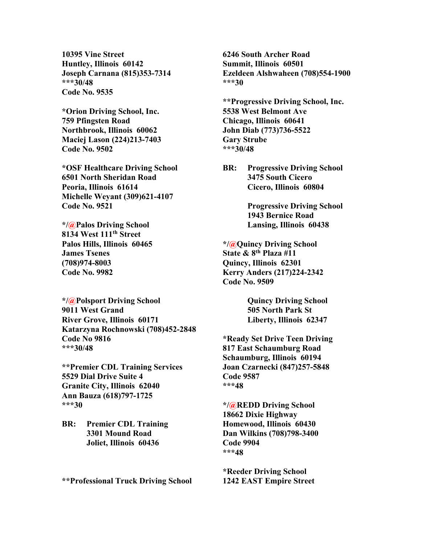**10395 Vine Street Huntley, Illinois 60142 Joseph Carnana (815)353-7314 \*\*\*30/48 Code No. 9535**

**\*Orion Driving School, Inc. 759 Pfingsten Road Northbrook, Illinois 60062 Maciej Lason (224)213-7403 Code No. 9502**

**\*OSF Healthcare Driving School 6501 North Sheridan Road Peoria, Illinois 61614 Michelle Weyant (309)621-4107 Code No. 9521**

**\*/@Palos Driving School 8134 West 111th Street Palos Hills, Illinois 60465 James Tsenes (708)974-8003 Code No. 9982**

**\*/@Polsport Driving School 9011 West Grand River Grove, Illinois 60171 Katarzyna Rochnowski (708)452-2848 Code No 9816 \*\*\*30/48**

**\*\*Premier CDL Training Services 5529 Dial Drive Suite 4 Granite City, Illinois 62040 Ann Bauza (618)797-1725 \*\*\*30**

**BR: Premier CDL Training 3301 Mound Road Joliet, Illinois 60436**

**\*\*Professional Truck Driving School**

**6246 South Archer Road Summit, Illinois 60501 Ezeldeen Alshwaheen (708)554-1900 \*\*\*30**

**\*\*Progressive Driving School, Inc. 5538 West Belmont Ave Chicago, Illinois 60641 John Diab (773)736-5522 Gary Strube \*\*\*30/48**

**BR: Progressive Driving School 3475 South Cicero Cicero, Illinois 60804**

> **Progressive Driving School 1943 Bernice Road Lansing, Illinois 60438**

**\*/@Quincy Driving School State & 8th Plaza #11 Quincy, Illinois 62301 Kerry Anders (217)224-2342 Code No. 9509**

> **Quincy Driving School 505 North Park St Liberty, Illinois 62347**

**\*Ready Set Drive Teen Driving 817 East Schaumburg Road Schaumburg, Illinois 60194 Joan Czarnecki (847)257-5848 Code 9587 \*\*\*48**

**\*/@REDD Driving School 18662 Dixie Highway Homewood, Illinois 60430 Dan Wilkins (708)798-3400 Code 9904 \*\*\*48**

**\*Reeder Driving School 1242 EAST Empire Street**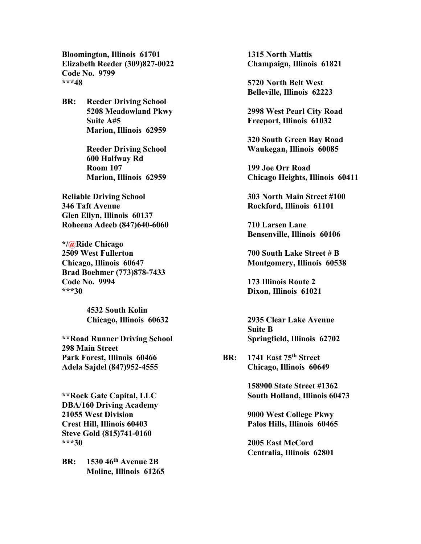**Bloomington, Illinois 61701 Elizabeth Reeder (309)827-0022 Code No. 9799 \*\*\*48**

**BR: Reeder Driving School 5208 Meadowland Pkwy Suite A#5 Marion, Illinois 62959**

> **Reeder Driving School 600 Halfway Rd Room 107 Marion, Illinois 62959**

**Reliable Driving School 346 Taft Avenue Glen Ellyn, Illinois 60137 Roheena Adeeb (847)640-6060**

**\*/@Ride Chicago 2509 West Fullerton Chicago, Illinois 60647 Brad Boehmer (773)878-7433 Code No. 9994 \*\*\*30**

> **4532 South Kolin Chicago, Illinois 60632**

**\*\*Road Runner Driving School 298 Main Street Park Forest, Illinois 60466 Adela Sajdel (847)952-4555**

**\*\*Rock Gate Capital, LLC DBA/160 Driving Academy 21055 West Division Crest Hill, Illinois 60403 Steve Gold (815)741-0160 \*\*\*30**

**BR: 1530 46th Avenue 2B Moline, Illinois 61265** **1315 North Mattis Champaign, Illinois 61821**

**5720 North Belt West Belleville, Illinois 62223**

**2998 West Pearl City Road Freeport, Illinois 61032**

**320 South Green Bay Road Waukegan, Illinois 60085**

**199 Joe Orr Road Chicago Heights, Illinois 60411**

**303 North Main Street #100 Rockford, Illinois 61101**

**710 Larsen Lane Bensenville, Illinois 60106**

**700 South Lake Street # B Montgomery, Illinois 60538**

**173 Illinois Route 2 Dixon, Illinois 61021**

**2935 Clear Lake Avenue Suite B Springfield, Illinois 62702**

**BR: 1741 East 75th Street Chicago, Illinois 60649**

> **158900 State Street #1362 South Holland, Illinois 60473**

**9000 West College Pkwy Palos Hills, Illinois 60465**

**2005 East McCord Centralia, Illinois 62801**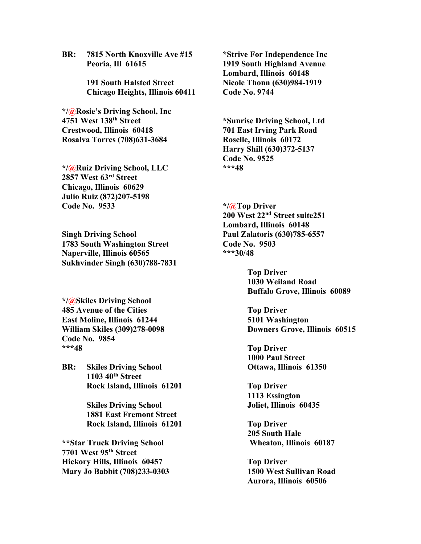**BR: 7815 North Knoxville Ave #15 Peoria, Ill 61615**

> **191 South Halsted Street Chicago Heights, Illinois 60411**

**\*/@Rosie's Driving School, Inc 4751 West 138th Street Crestwood, Illinois 60418 Rosalva Torres (708)631-3684**

**\*/@Ruiz Driving School, LLC 2857 West 63rd Street Chicago, Illinois 60629 Julio Ruiz (872)207-5198 Code No. 9533**

**Singh Driving School 1783 South Washington Street Naperville, Illinois 60565 Sukhvinder Singh (630)788-7831**

**\*/@Skiles Driving School 485 Avenue of the Cities East Moline, Illinois 61244 William Skiles (309)278-0098 Code No. 9854 \*\*\*48**

**BR: Skiles Driving School 1103 40th Street Rock Island, Illinois 61201**

> **Skiles Driving School 1881 East Fremont Street Rock Island, Illinois 61201**

**\*\*Star Truck Driving School 7701 West 95th Street Hickory Hills, Illinois 60457 Mary Jo Babbit (708)233-0303** **\*Strive For Independence Inc 1919 South Highland Avenue Lombard, Illinois 60148 Nicole Thonn (630)984-1919 Code No. 9744**

**\*Sunrise Driving School, Ltd 701 East Irving Park Road Roselle, Illinois 60172 Harry Shill (630)372-5137 Code No. 9525 \*\*\*48**

**\*/@Top Driver 200 West 22nd Street suite251 Lombard, Illinois 60148 Paul Zalatoris (630)785-6557 Code No. 9503 \*\*\*30/48**

> **Top Driver 1030 Weiland Road Buffalo Grove, Illinois 60089**

**Top Driver 5101 Washington Downers Grove, Illinois 60515**

**Top Driver 1000 Paul Street Ottawa, Illinois 61350**

**Top Driver 1113 Essington Joliet, Illinois 60435**

**Top Driver 205 South Hale Wheaton, Illinois 60187**

**Top Driver 1500 West Sullivan Road Aurora, Illinois 60506**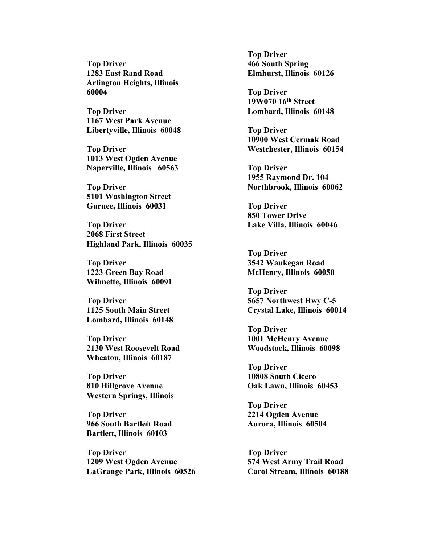**Top Driver 1283 East Rand Road Arlington Heights, Illinois 60004**

**Top Driver 1167 West Park Avenue Libertyville, Illinois 60048**

**Top Driver 1013 West Ogden Avenue Naperville, Illinois 60563**

**Top Driver 5101 Washington Street Gurnee, Illinois 60031**

**Top Driver 2068 First Street Highland Park, Illinois 60035**

**Top Driver 1223 Green Bay Road Wilmette, Illinois 60091**

**Top Driver 1125 South Main Street Lombard, Illinois 60148**

**Top Driver 2130 West Roosevelt Road Wheaton, Illinois 60187**

**Top Driver 810 Hillgrove Avenue Western Springs, Illinois** 

**Top Driver 966 South Bartlett Road Bartlett, Illinois 60103**

**Top Driver 1209 West Ogden Avenue LaGrange Park, Illinois 60526** **Top Driver 466 South Spring Elmhurst, Illinois 60126**

**Top Driver 19W070 16th Street Lombard, Illinois 60148**

**Top Driver 10900 West Cermak Road Westchester, Illinois 60154**

**Top Driver 1955 Raymond Dr. 104 Northbrook, Illinois 60062**

**Top Driver 850 Tower Drive Lake Villa, Illinois 60046**

**Top Driver 3542 Waukegan Road McHenry, Illinois 60050**

**Top Driver 5657 Northwest Hwy C-5 Crystal Lake, Illinois 60014**

**Top Driver 1001 McHenry Avenue Woodstock, Illinois 60098**

**Top Driver 10808 South Cicero Oak Lawn, Illinois 60453**

**Top Driver 2214 Ogden Avenue Aurora, Illinois 60504**

**Top Driver 574 West Army Trail Road Carol Stream, Illinois 60188**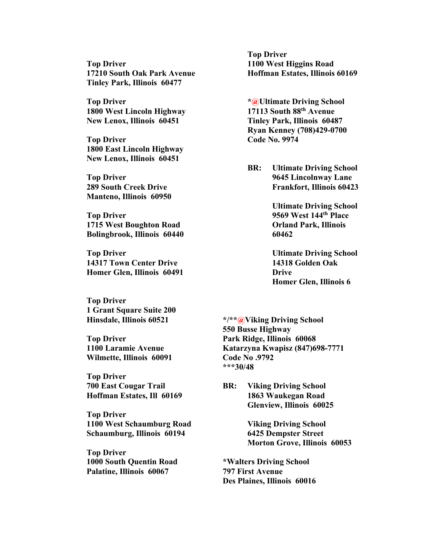**Top Driver 17210 South Oak Park Avenue Tinley Park, Illinois 60477**

**Top Driver 1800 West Lincoln Highway New Lenox, Illinois 60451**

**Top Driver 1800 East Lincoln Highway New Lenox, Illinois 60451**

**Top Driver 289 South Creek Drive Manteno, Illinois 60950**

**Top Driver 1715 West Boughton Road Bolingbrook, Illinois 60440**

**Top Driver 14317 Town Center Drive Homer Glen, Illinois 60491**

**Top Driver 1 Grant Square Suite 200 Hinsdale, Illinois 60521**

**Top Driver 1100 Laramie Avenue Wilmette, Illinois 60091**

**Top Driver 700 East Cougar Trail Hoffman Estates, Ill 60169**

**Top Driver 1100 West Schaumburg Road Schaumburg, Illinois 60194**

**Top Driver 1000 South Quentin Road Palatine, Illinois 60067**

**Top Driver 1100 West Higgins Road Hoffman Estates, Illinois 60169** 

**\*@Ultimate Driving School 17113 South 88th Avenue Tinley Park, Illinois 60487 Ryan Kenney (708)429-0700 Code No. 9974**

**BR: Ultimate Driving School 9645 Lincolnway Lane Frankfort, Illinois 60423**

> **Ultimate Driving School 9569 West 144th Place Orland Park, Illinois 60462**

> **Ultimate Driving School 14318 Golden Oak Drive Homer Glen, Illinois 6**

**\*/\*\*@Viking Driving School 550 Busse Highway Park Ridge, Illinois 60068 Katarzyna Kwapisz (847)698-7771 Code No .9792 \*\*\*30/48**

**BR: Viking Driving School 1863 Waukegan Road Glenview, Illinois 60025**

> **Viking Driving School 6425 Dempster Street Morton Grove, Illinois 60053**

**\*Walters Driving School 797 First Avenue Des Plaines, Illinois 60016**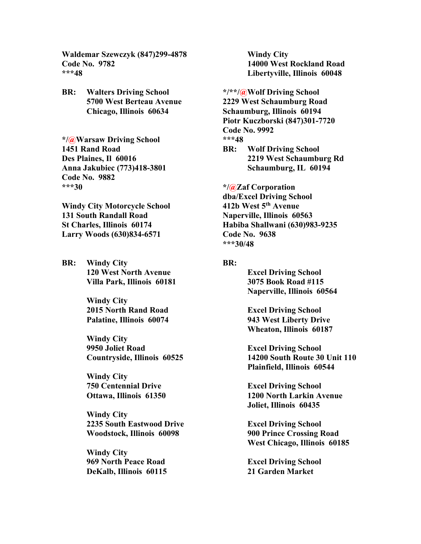**Waldemar Szewczyk (847)299-4878 Code No. 9782 \*\*\*48**

**BR: Walters Driving School 5700 West Berteau Avenue Chicago, Illinois 60634**

**\*/@Warsaw Driving School 1451 Rand Road Des Plaines, Il 60016 Anna Jakubiec (773)418-3801 Code No. 9882 \*\*\*30**

**Windy City Motorcycle School 131 South Randall Road St Charles, Illinois 60174 Larry Woods (630)834-6571**

**BR: Windy City 120 West North Avenue Villa Park, Illinois 60181**

> **Windy City 2015 North Rand Road Palatine, Illinois 60074**

**Windy City 9950 Joliet Road Countryside, Illinois 60525**

**Windy City 750 Centennial Drive Ottawa, Illinois 61350**

**Windy City 2235 South Eastwood Drive Woodstock, Illinois 60098**

**Windy City 969 North Peace Road DeKalb, Illinois 60115**

**Windy City 14000 West Rockland Road Libertyville, Illinois 60048**

**\*/\*\*/@Wolf Driving School 2229 West Schaumburg Road Schaumburg, Illinois 60194 Piotr Kuczborski (847)301-7720 Code No. 9992 \*\*\*48**

**BR: Wolf Driving School 2219 West Schaumburg Rd Schaumburg, IL 60194**

**\*/@Zaf Corporation dba/Excel Driving School 412b West 5th Avenue Naperville, Illinois 60563 Habiba Shallwani (630)983-9235 Code No. 9638 \*\*\*30/48**

### **BR:**

**Excel Driving School 3075 Book Road #115 Naperville, Illinois 60564**

**Excel Driving School 943 West Liberty Drive Wheaton, Illinois 60187**

**Excel Driving School 14200 South Route 30 Unit 110 Plainfield, Illinois 60544**

**Excel Driving School 1200 North Larkin Avenue Joliet, Illinois 60435**

**Excel Driving School 900 Prince Crossing Road West Chicago, Illinois 60185**

**Excel Driving School 21 Garden Market**